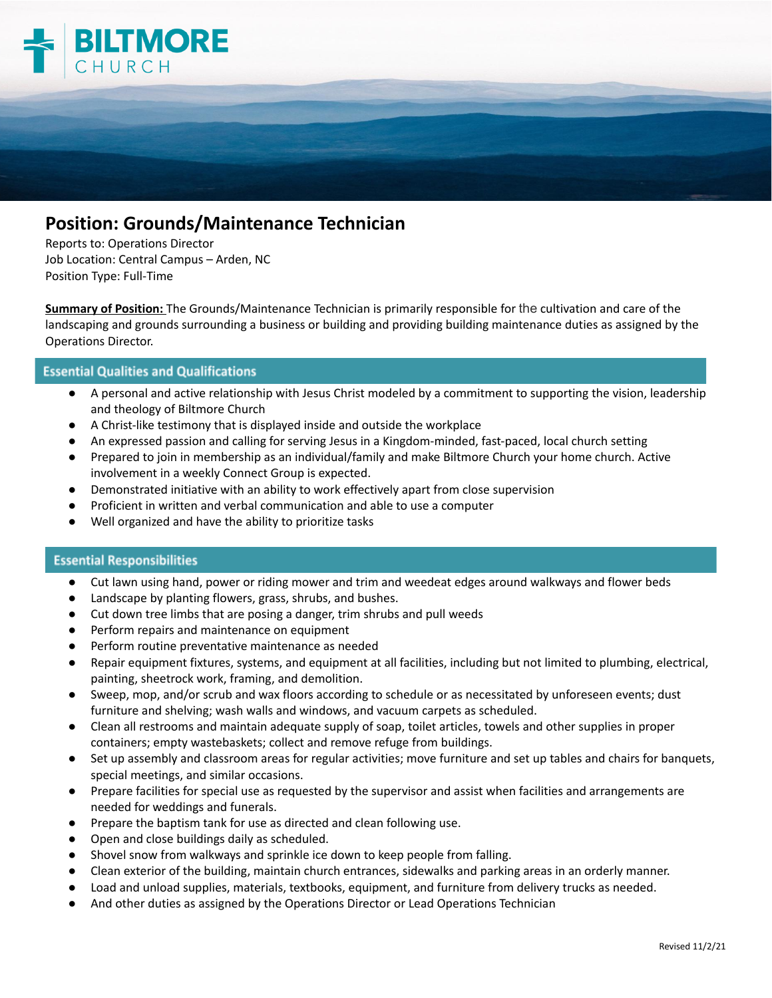

## **Position: Grounds/Maintenance Technician**

Reports to: Operations Director Job Location: Central Campus – Arden, NC Position Type: Full-Time

**Summary of Position:** The Grounds/Maintenance Technician is primarily responsible for the cultivation and care of the landscaping and grounds surrounding a business or building and providing building maintenance duties as assigned by the Operations Director.

## **Essential Qualities and Qualifications**

- A personal and active relationship with Jesus Christ modeled by a commitment to supporting the vision, leadership and theology of Biltmore Church
- A Christ-like testimony that is displayed inside and outside the workplace
- An expressed passion and calling for serving Jesus in a Kingdom-minded, fast-paced, local church setting
- Prepared to join in membership as an individual/family and make Biltmore Church your home church. Active involvement in a weekly Connect Group is expected.
- Demonstrated initiative with an ability to work effectively apart from close supervision
- Proficient in written and verbal communication and able to use a computer
- Well organized and have the ability to prioritize tasks

## **Essential Responsibilities**

- Cut lawn using hand, power or riding mower and trim and weedeat edges around walkways and flower beds
- Landscape by planting flowers, grass, shrubs, and bushes.
- Cut down tree limbs that are posing a danger, trim shrubs and pull weeds
- Perform repairs and maintenance on equipment
- Perform routine preventative maintenance as needed
- Repair equipment fixtures, systems, and equipment at all facilities, including but not limited to plumbing, electrical, painting, sheetrock work, framing, and demolition.
- Sweep, mop, and/or scrub and wax floors according to schedule or as necessitated by unforeseen events; dust furniture and shelving; wash walls and windows, and vacuum carpets as scheduled.
- Clean all restrooms and maintain adequate supply of soap, toilet articles, towels and other supplies in proper containers; empty wastebaskets; collect and remove refuge from buildings.
- Set up assembly and classroom areas for regular activities; move furniture and set up tables and chairs for banquets, special meetings, and similar occasions.
- Prepare facilities for special use as requested by the supervisor and assist when facilities and arrangements are needed for weddings and funerals.
- Prepare the baptism tank for use as directed and clean following use.
- Open and close buildings daily as scheduled.
- Shovel snow from walkways and sprinkle ice down to keep people from falling.
- Clean exterior of the building, maintain church entrances, sidewalks and parking areas in an orderly manner.
- Load and unload supplies, materials, textbooks, equipment, and furniture from delivery trucks as needed.
- And other duties as assigned by the Operations Director or Lead Operations Technician